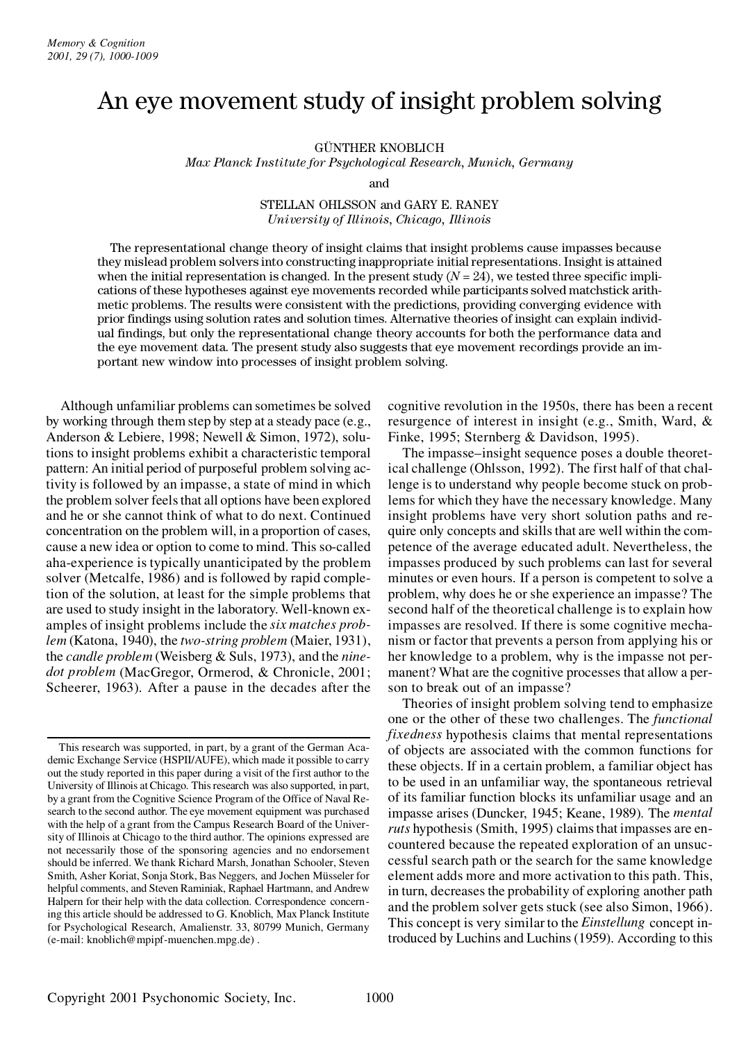# An eye movement study of insight problem solving

GÜNTHER KNOBLICH

*Max Planck Institute for Psychological Research, Munich, Germany*

and

STELLAN OHLSSON and GARY E. RANEY *University of Illinois, Chicago, Illinois*

The representational change theory of insight claims that insight problems cause impasses because they mislead problem solvers into constructing inappropriate initial representations. Insight is attained when the initial representation is changed. In the present study  $(N = 24)$ , we tested three specific implications of these hypotheses against eye movements recorded while participants solved matchstick arith metic problems. The results were consistent with the predictions, providing converging evidence with prior findings using solution rates and solution times. Alternative theories of insight can explain individ ual findings, but only the representational change theory accounts for both the performance data and the eye movement data. The present study also suggests that eye movement recordings provide an im portant new window into processes of insight problem solving.

Although unfamiliar problems can sometimes be solved by working through them step by step at a steady pace (e.g., Anderson & Lebiere, 1998; Newell & Simon, 1972), solutions to insight problems exhibit a characteristic temporal pattern: An initial period of purposeful problem solving activity is followed by an impasse, a state of mind in which the problem solver feels that all options have been explored and he or she cannot think of what to do next. Continued concentration on the problem will, in a proportion of cases, cause a new idea or option to come to mind. This so-called aha-experience is typically unanticipated by the problem solver (Metcalfe, 1986) and is followed by rapid completion of the solution, at least for the simple problems that are used to study insight in the laboratory. Well-known ex amples of insight problems include the *six matches problem* (Katona, 1940), the *two-string problem* (Maier, 1931), the *candle problem* (Weisberg & Suls, 1973), and the *ninedot problem* (MacGregor, Ormerod, & Chronicle, 2001; Scheerer, 1963). After a pause in the decades after the

cognitive revolution in the 1950s, there has been a recent resurgence of interest in insight (e.g., Smith, Ward, & Finke, 1995; Sternberg & Davidson, 1995).

The impasse–insight sequence poses a double theoretical challenge (Ohlsson, 1992). The first half of that challenge is to understand why people become stuck on problems for which they have the necessary knowledge. Many insight problems have very short solution paths and re quire only concepts and skills that are well within the com petence of the average educated adult. Nevertheless, the impasses produced by such problems can last for several minutes or even hours. If a person is competent to solve a problem, why does he or she experience an impasse? The second half of the theoretical challenge is to explain how impasses are resolved. If there is some cognitive mecha nism or factor that prevents a person from applying his or her knowledge to a problem, why is the impasse not per manent? What are the cognitive processes that allow a per son to break out of an impasse?

Theories of insight problem solving tend to emphasize one or the other of these two challenges. The *functional fixedness* hypothesis claims that mental representations of objects are associated with the common functions for these objects. If in a certain problem, a familiar object has to be used in an unfamiliar way, the spontaneous retrieval of its familiar function blocks its unfamiliar usage and an impasse arises (Duncker, 1945; Keane, 1989). The *mental ruts* hypothesis (Smith, 1995) claims that impasses are en countered because the repeated exploration of an unsuc cessful search path or the search for the same knowledge element adds more and more activation to this path. This, in turn, decreases the probability of exploring another path and the problem solver gets stuck (see also Simon, 1966). This concept is very similar to the *Einstellung* concept introduced by Luchins and Luchins (1959). According to this

This research was supported, in part, by a grant of the German Aca demic Exchange Service (HSPII/AUFE), which made it possible to carry out the study reported in this paper during a visit of the first author to the University of Illinois at Chicago. This research was also supported, in part, by a grant from the Cognitive Science Program of the Office of Naval Re search to the second author. The eye movement equipment was purchased with the help of a grant from the Campus Research Board of the Univer sity of Illinois at Chicago to the third author. The opinions expressed are not necessarily those of the sponsoring agencies and no endorsement should be inferred. We thank Richard Marsh, Jonathan Schooler, Steven Smith, Asher Koriat, Sonja Stork, Bas Neggers, and Jochen Müsseler for helpful comments, and Steven Raminiak, Raphael Hartmann, and Andrew Halpern for their help with the data collection. Correspondence concerning this article should be addressed to G. Knoblich, Max Planck Institute for Psychological Research, Amalienstr. 33, 80799 Munich, Germany (e-mail: knoblich@mpipf-muenchen.mpg.de) .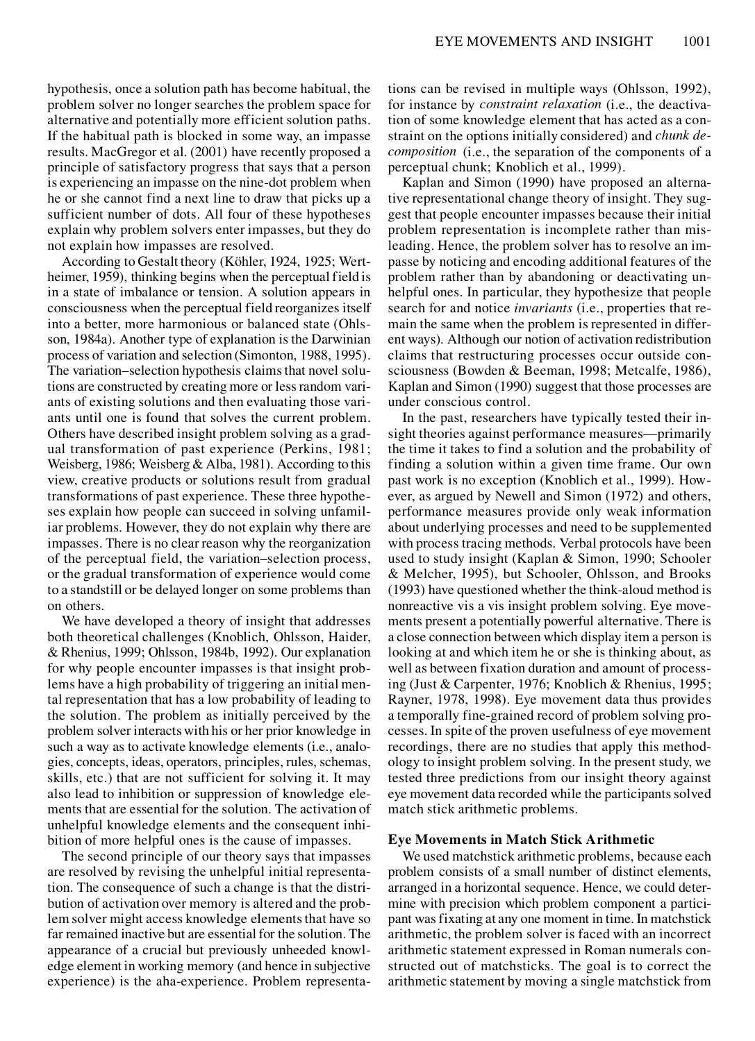hypothesis, once a solution path has become habitual, the problem solver no longer searches the problem space for alternative and potentially more efficient solution paths. If the habitual path is blocked in some way, an impasse results. MacGregor et al. (2001) have recently proposed a principle of satisfactory progress that says that a person is experiencing an impasse on the nine-dot problem when he or she cannot find a next line to draw that picks up a sufficient number of dots. All four of these hypotheses explain why problem solvers enter impasses, but they do not explain how impasses are resolved.

According to Gestalt theory (Köhler, 1924, 1925; Wert heimer, 1959), thinking begins when the perceptual field is in a state of imbalance or tension. A solution appears in consciousness when the perceptual field reorganizes itself into a better, more harmonious or balanced state (Ohls son, 1984a). Another type of explanation is the Darwinian process of variation and selection (Simonton, 1988, 1995). The variation–selection hypothesis claims that novel solutions are constructed by creating more or less random vari ants of existing solutions and then evaluating those vari ants until one is found that solves the current problem. Others have described insight problem solving as a grad ual transformation of past experience (Perkins, 1981; Weisberg, 1986; Weisberg & Alba, 1981). According to this view, creative products or solutions result from gradual transformations of past experience. These three hypothe ses explain how people can succeed in solving unfamiliar problems. However, they do not explain why there are impasses. There is no clear reason why the reorganization of the perceptual field, the variation–selection process, or the gradual transformation of experience would come to a standstill or be delayed longer on some problems than on others.

We have developed a theory of insight that addresses both theoretical challenges (Knoblich, Ohlsson, Haider, & Rhenius, 1999; Ohlsson, 1984b, 1992). Our explanation for why people encounter impasses is that insight problems have a high probability of triggering an initial mental representation that has a low probability of leading to the solution. The problem as initially perceived by the problem solver interacts with his or her prior knowledge in such a way as to activate knowledge elements (i.e., analo gies, concepts, ideas, operators, principles, rules, schemas, skills, etc.) that are not sufficient for solving it. It may also lead to inhibition or suppression of knowledge ele ments that are essential for the solution. The activation of unhelpful knowledge elements and the consequent inhi bition of more helpful ones is the cause of impasses.

The second principle of our theory says that impasses are resolved by revising the unhelpful initial representation. The consequence of such a change is that the distri bution of activation over memory is altered and the problem solver might access knowledge elements that have so far remained inactive but are essential for the solution. The appearance of a crucial but previously unheeded knowl edge element in working memory (and hence in subjective experience) is the aha-experience. Problem representations can be revised in multiple ways (Ohlsson, 1992), for instance by *constraint relaxation* (i.e., the deactivation of some knowledge element that has acted as a con straint on the options initially considered) and *chunk decomposition* (i.e., the separation of the components of a perceptual chunk; Knoblich et al., 1999).

Kaplan and Simon (1990) have proposed an alternative representational change theory of insight. They sug gest that people encounter impasses because their initial problem representation is incomplete rather than misleading. Hence, the problem solver has to resolve an im passe by noticing and encoding additional features of the problem rather than by abandoning or deactivating un helpful ones. In particular, they hypothesize that people search for and notice *invariants* (i.e., properties that re main the same when the problem is represented in differ ent ways). Although our notion of activation redistribution claims that restructuring processes occur outside con sciousness (Bowden & Beeman, 1998; Metcalfe, 1986), Kaplan and Simon (1990) suggest that those processes are under conscious control.

In the past, researchers have typically tested their in sight theories against performance measures—primarily the time it takes to find a solution and the probability of finding a solution within a given time frame. Our own past work is no exception (Knoblich et al., 1999). How ever, as argued by Newell and Simon (1972) and others, performance measures provide only weak information about underlying processes and need to be supplemented with process tracing methods. Verbal protocols have been used to study insight (Kaplan & Simon, 1990; Schooler & Melcher, 1995), but Schooler, Ohlsson, and Brooks (1993) have questioned whether the think-aloud method is nonreactive vis a vis insight problem solving. Eye move ments present a potentially powerful alternative. There is a close connection between which display item a person is looking at and which item he or she is thinking about, as well as between fixation duration and amount of processing (Just & Carpenter, 1976; Knoblich & Rhenius, 1995; Rayner, 1978, 1998). Eye movement data thus provides a temporally fine-grained record of problem solving pro cesses. In spite of the proven usefulness of eye movement recordings, there are no studies that apply this method ology to insight problem solving. In the present study, we tested three predictions from our insight theory against eye movement data recorded while the participants solved match stick arithmetic problems.

## **Eye Movements in Match Stick Arithmetic**

We used matchstick arithmetic problems, because each problem consists of a small number of distinct elements, arranged in a horizontal sequence. Hence, we could deter mine with precision which problem component a partici pant was fixating at any one moment in time. In matchstick arithmetic, the problem solver is faced with an incorrect arithmetic statement expressed in Roman numerals con structed out of matchsticks. The goal is to correct the arithmetic statement by moving a single matchstick from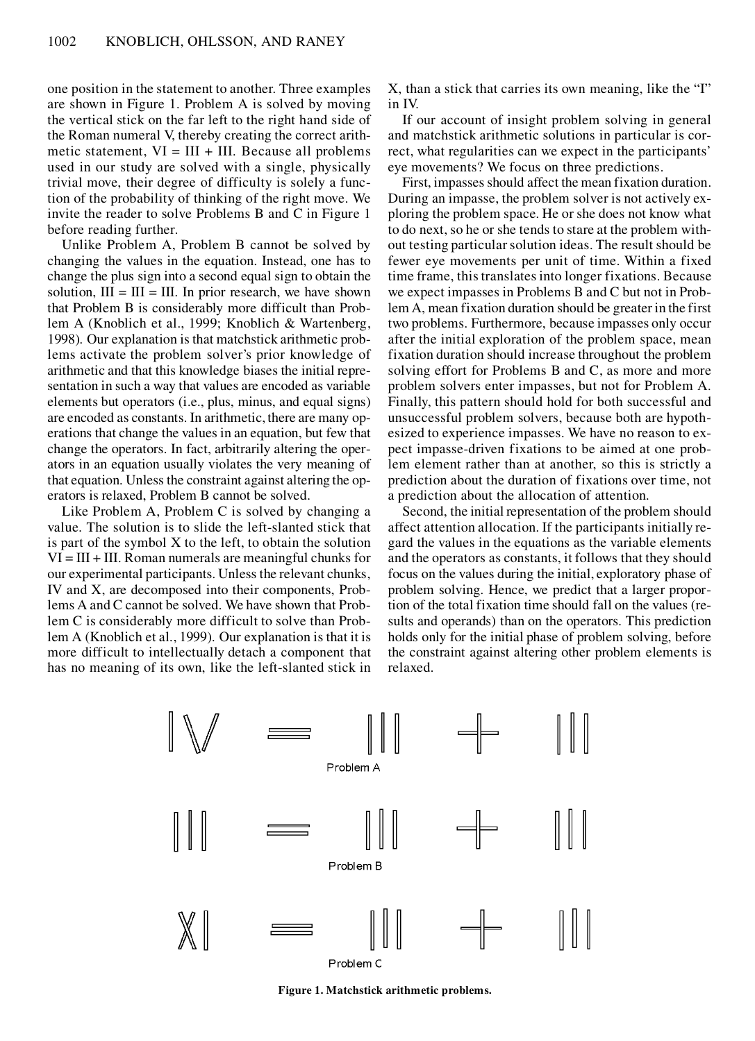one position in the statement to another. Three examples are shown in Figure 1. Problem A is solved by moving the vertical stick on the far left to the right hand side of the Roman numeral V, thereby creating the correct arith metic statement,  $VI = III + III$ . Because all problems used in our study are solved with a single, physically trivial move, their degree of difficulty is solely a function of the probability of thinking of the right move. We invite the reader to solve Problems B and C in Figure 1 before reading further.

Unlike Problem A, Problem B cannot be solved by changing the values in the equation. Instead, one has to change the plus sign into a second equal sign to obtain the solution,  $III = III = III$ . In prior research, we have shown that Problem B is considerably more difficult than Problem A (Knoblich et al., 1999; Knoblich & Wartenberg, 1998). Our explanation is that matchstick arithmetic problems activate the problem solver's prior knowledge of arithmetic and that this knowledge biases the initial repre sentation in such a way that values are encoded as variable elements but operators (i.e., plus, minus, and equal signs) are encoded as constants. In arithmetic, there are many op erations that change the values in an equation, but few that change the operators. In fact, arbitrarily altering the oper ators in an equation usually violates the very meaning of that equation. Unless the constraint against altering the op erators is relaxed, Problem B cannot be solved.

Like Problem A, Problem C is solved by changing a value. The solution is to slide the left-slanted stick that is part of the symbol X to the left, to obtain the solution  $VI = III + III$ . Roman numerals are meaningful chunks for our experimental participants. Unless the relevant chunks, IV and X, are decomposed into their components, Problems A and C cannot be solved. We have shown that Problem C is considerably more difficult to solve than Problem A (Knoblich et al., 1999). Our explanation is that it is more difficult to intellectually detach a component that has no meaning of its own, like the left-slanted stick in

X, than a stick that carries its own meaning, like the "I" in IV.

If our account of insight problem solving in general and matchstick arithmetic solutions in particular is correct, what regularities can we expect in the participants' eye movements? We focus on three predictions.

First, impasses should affect the mean fixation duration. During an impasse, the problem solver is not actively ex ploring the problem space. He or she does not know what to do next, so he or she tends to stare at the problem with out testing particular solution ideas. The result should be fewer eye movements per unit of time. Within a fixed time frame, this translates into longer fixations. Because we expect impasses in Problems B and C but not in Problem A, mean fixation duration should be greater in the first two problems. Furthermore, because impasses only occur after the initial exploration of the problem space, mean fixation duration should increase throughout the problem solving effort for Problems B and C, as more and more problem solvers enter impasses, but not for Problem A. Finally, this pattern should hold for both successful and unsuccessful problem solvers, because both are hypoth esized to experience impasses. We have no reason to ex pect impasse-driven fixations to be aimed at one problem element rather than at another, so this is strictly a prediction about the duration of fixations over time, not a prediction about the allocation of attention.

Second, the initial representation of the problem should affect attention allocation. If the participants initially re gard the values in the equations as the variable elements and the operators as constants, it follows that they should focus on the values during the initial, exploratory phase of problem solving. Hence, we predict that a larger proportion of the total fixation time should fall on the values (re sults and operands) than on the operators. This prediction holds only for the initial phase of problem solving, before the constraint against altering other problem elements is relaxed.



**Figure 1. Matchstick arithmetic problems.**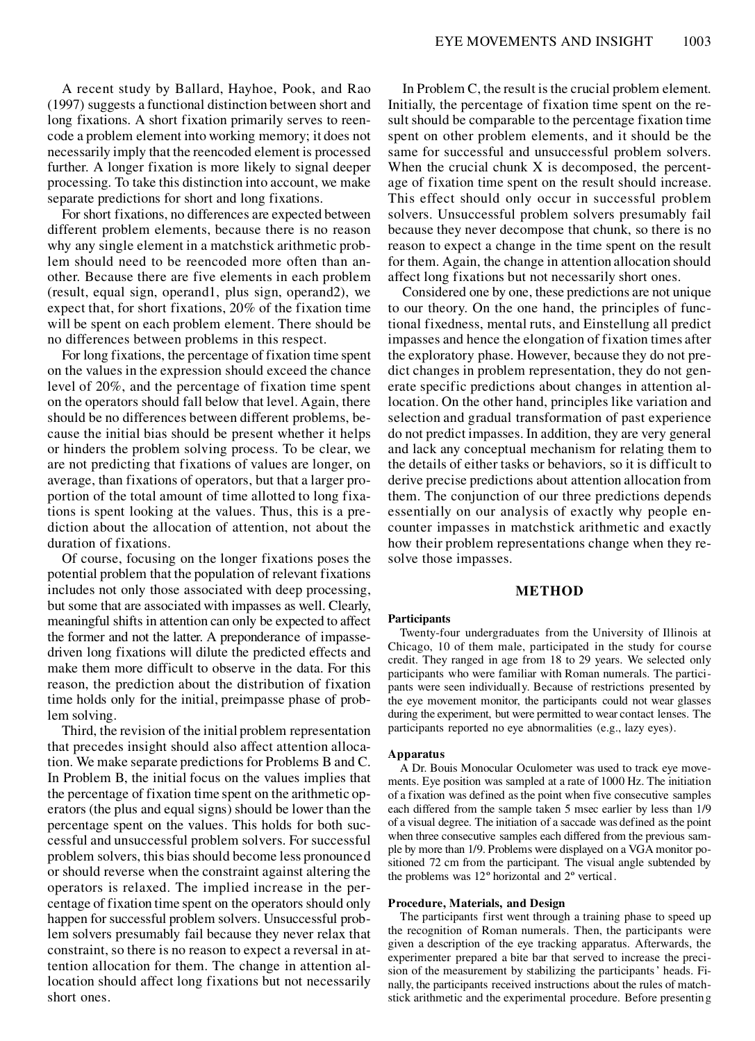A recent study by Ballard, Hayhoe, Pook, and Rao (1997) suggests a functional distinction between short and long fixations. A short fixation primarily serves to reen code a problem element into working memory; it does not necessarily imply that the reencoded element is processed further. A longer fixation is more likely to signal deeper processing. To take this distinction into account, we make separate predictions for short and long fixations.

For short fixations, no differences are expected between different problem elements, because there is no reason why any single element in a matchstick arithmetic problem should need to be reencoded more often than an other. Because there are five elements in each problem (result, equal sign, operand1, plus sign, operand2), we expect that, for short fixations, 20% of the fixation time will be spent on each problem element. There should be no differences between problems in this respect.

For long fixations, the percentage of fixation time spent on the values in the expression should exceed the chance level of 20%, and the percentage of fixation time spent on the operators should fall below that level. Again, there should be no differences between different problems, be cause the initial bias should be present whether it helps or hinders the problem solving process. To be clear, we are not predicting that fixations of values are longer, on average, than fixations of operators, but that a larger pro portion of the total amount of time allotted to long fixations is spent looking at the values. Thus, this is a pre diction about the allocation of attention, not about the duration of fixations.

Of course, focusing on the longer fixations poses the potential problem that the population of relevant fixations includes not only those associated with deep processing, but some that are associated with impasses as well. Clearly, meaningful shifts in attention can only be expected to affect the former and not the latter. A preponderance of impasse driven long fixations will dilute the predicted effects and make them more difficult to observe in the data. For this reason, the prediction about the distribution of fixation time holds only for the initial, preimpasse phase of problem solving.

Third, the revision of the initial problem representation that precedes insight should also affect attention allocation. We make separate predictions for Problems B and C. In Problem B, the initial focus on the values implies that the percentage of fixation time spent on the arithmetic op erators (the plus and equal signs) should be lower than the percentage spent on the values. This holds for both suc cessful and unsuccessful problem solvers. For successful problem solvers, this bias should become less pronounced or should reverse when the constraint against altering the operators is relaxed. The implied increase in the per centage of fixation time spent on the operators should only happen for successful problem solvers. Unsuccessful problem solvers presumably fail because they never relax that constraint, so there is no reason to expect a reversal in attention allocation for them. The change in attention allocation should affect long fixations but not necessarily short ones.

In Problem C, the result is the crucial problem element. Initially, the percentage of fixation time spent on the re sult should be comparable to the percentage fixation time spent on other problem elements, and it should be the same for successful and unsuccessful problem solvers. When the crucial chunk X is decomposed, the percentage of fixation time spent on the result should increase. This effect should only occur in successful problem solvers. Unsuccessful problem solvers presumably fail because they never decompose that chunk, so there is no reason to expect a change in the time spent on the result for them. Again, the change in attention allocation should affect long fixations but not necessarily short ones.

Considered one by one, these predictions are not unique to our theory. On the one hand, the principles of functional fixedness, mental ruts, and Einstellung all predict impasses and hence the elongation of fixation times after the exploratory phase. However, because they do not pre dict changes in problem representation, they do not gen erate specific predictions about changes in attention allocation. On the other hand, principles like variation and selection and gradual transformation of past experience do not predict impasses. In addition, they are very general and lack any conceptual mechanism for relating them to the details of either tasks or behaviors, so it is difficult to derive precise predictions about attention allocation from them. The conjunction of our three predictions depends essentially on our analysis of exactly why people en counter impasses in matchstick arithmetic and exactly how their problem representations change when they re solve those impasses.

## **METHOD**

#### **Participants**

Twenty-four undergraduates from the University of Illinois at Chicago, 10 of them male, participated in the study for course credit. They ranged in age from 18 to 29 years. We selected only participants who were familiar with Roman numerals. The partici pants were seen individually. Because of restrictions presented by the eye movement monitor, the participants could not wear glasses during the experiment, but were permitted to wear contact lenses. The participants reported no eye abnormalities (e.g., lazy eyes).

#### **Apparatus**

A Dr. Bouis Monocular Oculometer was used to track eye move ments. Eye position was sampled at a rate of 1000 Hz. The initiation of a fixation was defined as the point when five consecutive samples each differed from the sample taken 5 msec earlier by less than 1/9 of a visual degree. The initiation of a saccade was defined as the point when three consecutive samples each differed from the previous sam ple by more than 1/9. Problems were displayed on a VGA monitor po sitioned 72 cm from the participant. The visual angle subtended by the problems was 12º horizontal and 2º vertical.

## **Procedure, Materials, and Design**

The participants first went through a training phase to speed up the recognition of Roman numerals. Then, the participants were given a description of the eye tracking apparatus. Afterwards, the experimenter prepared a bite bar that served to increase the preci sion of the measurement by stabilizing the participants' heads. Fi nally, the participants received instructions about the rules of match stick arithmetic and the experimental procedure. Before presenting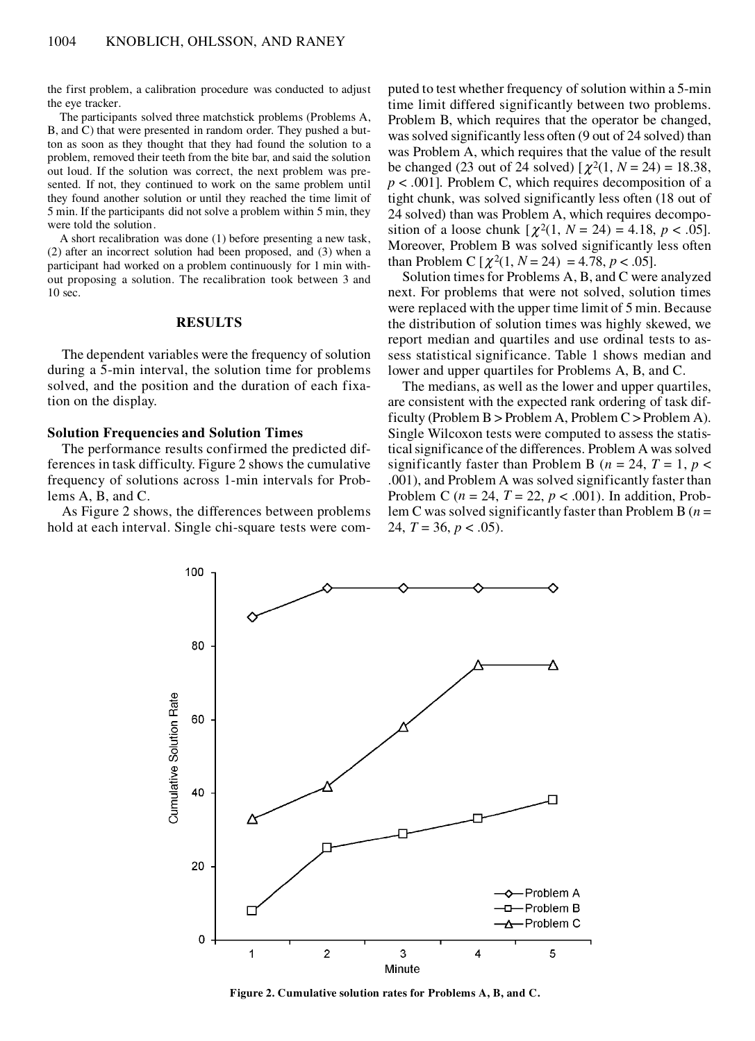the first problem, a calibration procedure was conducted to adjust the eye tracker.

The participants solved three matchstick problems (Problems A, B, and C) that were presented in random order. They pushed a button as soon as they thought that they had found the solution to a problem, removed their teeth from the bite bar, and said the solution out loud. If the solution was correct, the next problem was pre sented. If not, they continued to work on the same problem until they found another solution or until they reached the time limit of 5 min. If the participants did not solve a problem within 5 min, they were told the solution.

A short recalibration was done (1) before presenting a new task, (2) after an incorrect solution had been proposed, and (3) when a participant had worked on a problem continuously for 1 min with out proposing a solution. The recalibration took between 3 and 10 sec.

# **RESULTS**

The dependent variables were the frequency of solution during a 5-min interval, the solution time for problems solved, and the position and the duration of each fixation on the display.

# **Solution Frequencies and Solution Times**

The performance results confirmed the predicted differences in task difficulty. Figure 2 shows the cumulative frequency of solutions across 1-min intervals for Problems A, B, and C.

As Figure 2 shows, the differences between problems hold at each interval. Single chi-square tests were computed to test whether frequency of solution within a 5-min time limit differed significantly between two problems. Problem B, which requires that the operator be changed, was solved significantly less often (9 out of 24 solved) than was Problem A, which requires that the value of the result be changed (23 out of 24 solved)  $[\chi^2(1, N = 24) = 18.38]$ , *p* < .001]. Problem C, which requires decomposition of a tight chunk, was solved significantly less often (18 out of 24 solved) than was Problem A, which requires decompo sition of a loose chunk  $[\chi^2(1, N = 24) = 4.18, p < .05]$ . Moreover, Problem B was solved significantly less often than Problem C  $[\chi^2(1, N = 24) = 4.78, p < .05]$ .

Solution times for Problems A, B, and C were analyzed next. For problems that were not solved, solution times were replaced with the upper time limit of 5 min. Because the distribution of solution times was highly skewed, we report median and quartiles and use ordinal tests to as sess statistical significance. Table 1 shows median and lower and upper quartiles for Problems A, B, and C.

The medians, as well as the lower and upper quartiles, are consistent with the expected rank ordering of task difficulty (Problem B > Problem A, Problem C > Problem A). Single Wilcoxon tests were computed to assess the statistical significance of the differences. Problem A was solved significantly faster than Problem B ( $n = 24$ ,  $T = 1$ ,  $p <$ .001), and Problem A was solved significantly faster than Problem C (*n* = 24, *T* = 22, *p* < .001). In addition, Problem C was solved significantly faster than Problem B (*n* = 24,  $T = 36$ ,  $p < .05$ ).



**Figure 2. Cumulative solution rates for Problems A, B, and C.**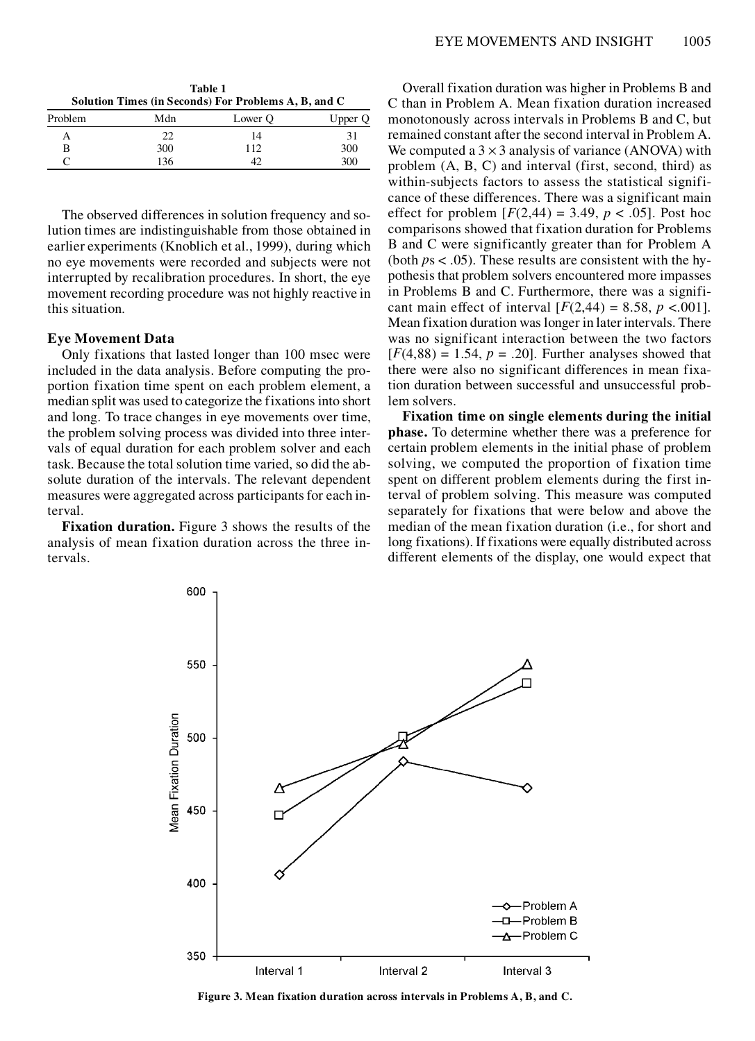| Table 1                                              |     |         |         |   |
|------------------------------------------------------|-----|---------|---------|---|
| Solution Times (in Seconds) For Problems A, B, and C |     |         |         |   |
| Problem                                              | Mdn | Lower O | Upper Q | n |
|                                                      |     |         |         |   |

A 22 14 31 B 300 112 300 C 136 42 300

The observed differences in solution frequency and solution times are indistinguishable from those obtained in earlier experiments (Knoblich et al., 1999), during which no eye movements were recorded and subjects were not interrupted by recalibration procedures. In short, the eye movement recording procedure was not highly reactive in this situation.

## **Eye Movement Data**

Only fixations that lasted longer than 100 msec were included in the data analysis. Before computing the pro portion fixation time spent on each problem element, a median split was used to categorize the fixations into short and long. To trace changes in eye movements over time, the problem solving process was divided into three inter vals of equal duration for each problem solver and each task. Because the total solution time varied, so did the ab solute duration of the intervals. The relevant dependent measures were aggregated across participants for each interval.

**Fixation duration.** Figure 3 shows the results of the analysis of mean fixation duration across the three intervals.

600

Overall fixation duration was higher in Problems B and C than in Problem A. Mean fixation duration increased monotonously across intervals in Problems B and C, but remained constant after the second interval in Problem A. We computed a  $3 \times 3$  analysis of variance (ANOVA) with problem (A, B, C) and interval (first, second, third) as within-subjects factors to assess the statistical significance of these differences. There was a significant main effect for problem  $[F(2,44) = 3.49, p < .05]$ . Post hoc comparisons showed that fixation duration for Problems B and C were significantly greater than for Problem A (both  $ps < .05$ ). These results are consistent with the hypothesis that problem solvers encountered more impasses in Problems B and C. Furthermore, there was a signifi cant main effect of interval  $[F(2,44) = 8.58, p < .001]$ . Mean fixation duration was longer in later intervals. There was no significant interaction between the two factors  $[F(4,88) = 1.54, p = .20]$ . Further analyses showed that there were also no significant differences in mean fixation duration between successful and unsuccessful problem solvers.

**Fixation time on single elements during the initial phase.** To determine whether there was a preference for certain problem elements in the initial phase of problem solving, we computed the proportion of fixation time spent on different problem elements during the first interval of problem solving. This measure was computed separately for fixations that were below and above the median of the mean fixation duration (i.e., for short and long fixations). If fixations were equally distributed across different elements of the display, one would expect that



**Figure 3. Mean fixation duration across intervals in Problems A, B, and C.**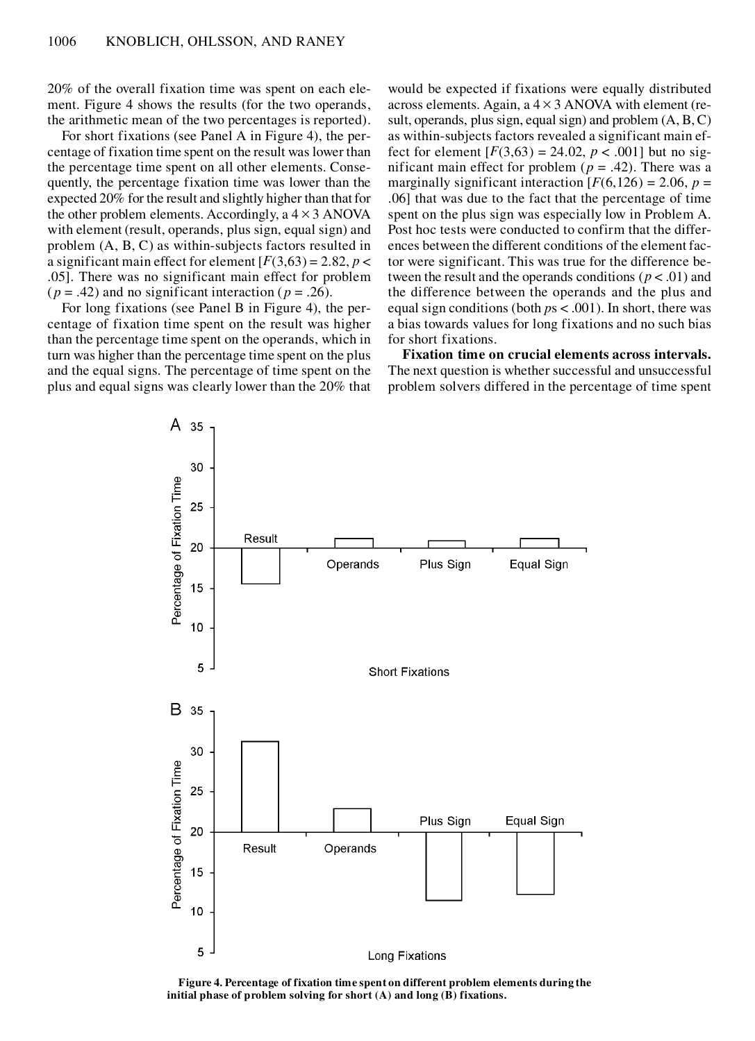20% of the overall fixation time was spent on each ele ment. Figure 4 shows the results (for the two operands, the arithmetic mean of the two percentages is reported).

For short fixations (see Panel A in Figure 4), the per centage of fixation time spent on the result was lower than the percentage time spent on all other elements. Conse quently, the percentage fixation time was lower than the expected 20% for the result and slightly higher than that for the other problem elements. Accordingly, a  $4 \times 3$  ANOVA with element (result, operands, plus sign, equal sign) and problem (A, B, C) as within-subjects factors resulted in a significant main effect for element  $[F(3,63) = 2.82, p <$ .05]. There was no significant main effect for problem  $(p = .42)$  and no significant interaction  $(p = .26)$ .

For long fixations (see Panel B in Figure 4), the per centage of fixation time spent on the result was higher than the percentage time spent on the operands, which in turn was higher than the percentage time spent on the plus and the equal signs. The percentage of time spent on the plus and equal signs was clearly lower than the 20% that would be expected if fixations were equally distributed across elements. Again, a  $4 \times 3$  ANOVA with element (result, operands, plus sign, equal sign) and problem (A, B, C) as within-subjects factors revealed a significant main effect for element  $[F(3,63) = 24.02, p < .001]$  but no significant main effect for problem ( $p = .42$ ). There was a marginally significant interaction  $[F(6,126) = 2.06, p =$ .06] that was due to the fact that the percentage of time spent on the plus sign was especially low in Problem A. Post hoc tests were conducted to confirm that the differ ences between the different conditions of the element factor were significant. This was true for the difference between the result and the operands conditions (*p* < .01) and the difference between the operands and the plus and equal sign conditions (both *p*s < .001). In short, there was a bias towards values for long fixations and no such bias for short fixations.

**Fixation time on crucial elements across intervals.** The next question is whether successful and unsuccessful problem solvers differed in the percentage of time spent



**Figure 4. Percentage of fixation time spent on different problem elements during the initial phase of problem solving for short (A) and long (B) fixations.**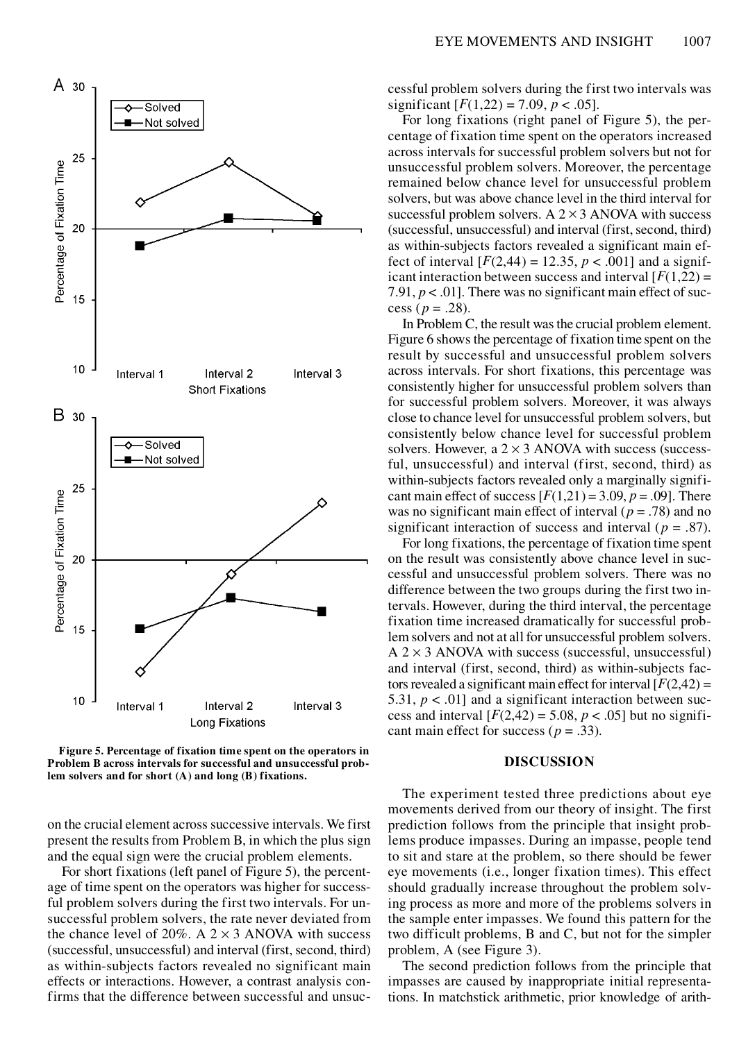

**Figure 5. Percentage of fixation time spent on the operators in Problem B across intervals for successful and unsuccessful problem solvers and for short (A) and long (B) fixations.**

on the crucial element across successive intervals. We first present the results from Problem B, in which the plus sign and the equal sign were the crucial problem elements.

For short fixations (left panel of Figure 5), the percent age of time spent on the operators was higher for successful problem solvers during the first two intervals. For un successful problem solvers, the rate never deviated from the chance level of 20%. A  $2 \times 3$  ANOVA with success (successful, unsuccessful) and interval (first, second, third) as within-subjects factors revealed no significant main effects or interactions. However, a contrast analysis confirms that the difference between successful and unsuccessful problem solvers during the first two intervals was significant  $[F(1,22) = 7.09, p < .05]$ .

For long fixations (right panel of Figure 5), the per centage of fixation time spent on the operators increased across intervals for successful problem solvers but not for unsuccessful problem solvers. Moreover, the percentage remained below chance level for unsuccessful problem solvers, but was above chance level in the third interval for successful problem solvers. A  $2 \times 3$  ANOVA with success (successful, unsuccessful) and interval (first, second, third) as within-subjects factors revealed a significant main effect of interval  $[F(2,44) = 12.35, p < .001]$  and a significant interaction between success and interval  $[F(1,22) =$ 7.91,  $p < .01$ ]. There was no significant main effect of success ( $p = .28$ ).

In Problem C, the result was the crucial problem element. Figure 6 shows the percentage of fixation time spent on the result by successful and unsuccessful problem solvers across intervals. For short fixations, this percentage was consistently higher for unsuccessful problem solvers than for successful problem solvers. Moreover, it was always close to chance level for unsuccessful problem solvers, but consistently below chance level for successful problem solvers. However, a  $2 \times 3$  ANOVA with success (successful, unsuccessful) and interval (first, second, third) as within-subjects factors revealed only a marginally significant main effect of success  $[F(1,21) = 3.09, p = .09]$ . There was no significant main effect of interval (*p* = .78) and no significant interaction of success and interval ( $p = .87$ ).

For long fixations, the percentage of fixation time spent on the result was consistently above chance level in suc cessful and unsuccessful problem solvers. There was no difference between the two groups during the first two intervals. However, during the third interval, the percentage fixation time increased dramatically for successful problem solvers and not at all for unsuccessful problem solvers.  $A$  2  $\times$  3 ANOVA with success (successful, unsuccessful) and interval (first, second, third) as within-subjects factors revealed a significant main effect for interval  $[F(2,42) =$ 5.31,  $p < .01$ ] and a significant interaction between success and interval  $[F(2,42) = 5.08, p < .05]$  but no significant main effect for success ( $p = .33$ ).

## **DISCUSSION**

The experiment tested three predictions about eye movements derived from our theory of insight. The first prediction follows from the principle that insight problems produce impasses. During an impasse, people tend to sit and stare at the problem, so there should be fewer eye movements (i.e., longer fixation times). This effect should gradually increase throughout the problem solving process as more and more of the problems solvers in the sample enter impasses. We found this pattern for the two difficult problems, B and C, but not for the simpler problem, A (see Figure 3).

The second prediction follows from the principle that impasses are caused by inappropriate initial representations. In matchstick arithmetic, prior knowledge of arith-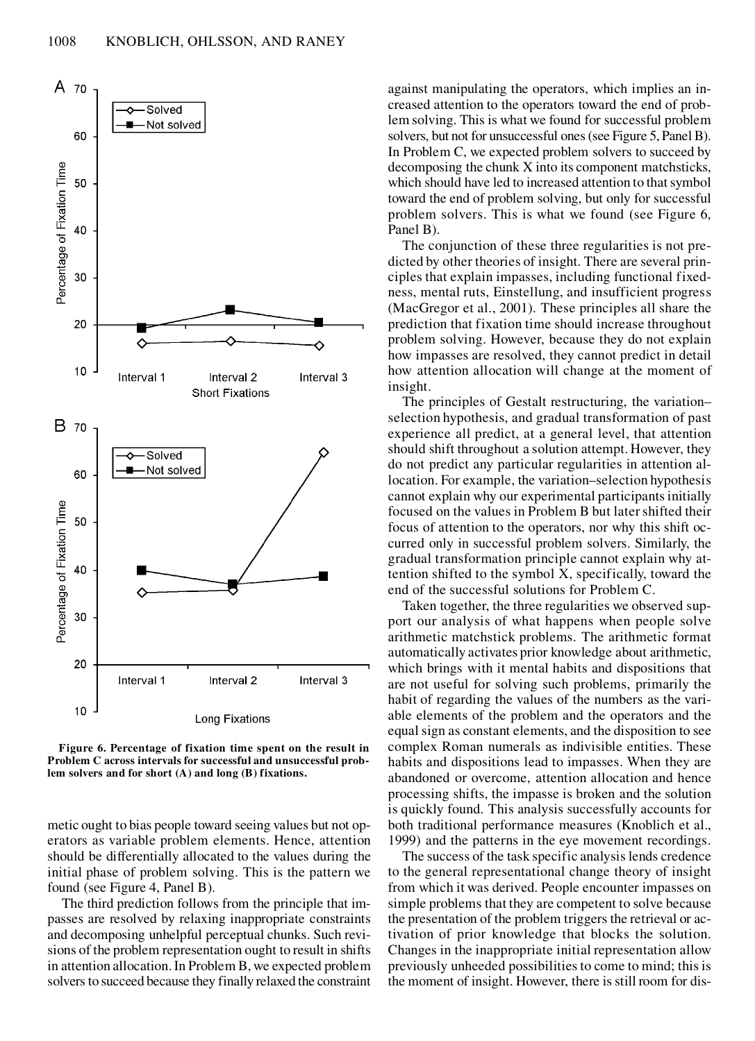

**Figure 6. Percentage of fixation time spent on the result in Problem C across intervals for successful and unsuccessful problem solvers and for short (A) and long (B) fixations.**

metic ought to bias people toward seeing values but not op erators as variable problem elements. Hence, attention should be differentially allocated to the values during the initial phase of problem solving. This is the pattern we found (see Figure 4, Panel B).

The third prediction follows from the principle that im passes are resolved by relaxing inappropriate constraints and decomposing unhelpful perceptual chunks. Such revi sions of the problem representation ought to result in shifts in attention allocation. In Problem B, we expected problem solvers to succeed because they finally relaxed the constraint against manipulating the operators, which implies an in creased attention to the operators toward the end of problem solving. This is what we found for successful problem solvers, but not for unsuccessful ones (see Figure 5, PanelB). In Problem C, we expected problem solvers to succeed by decomposing the chunk X into its component matchsticks, which should have led to increased attention to that symbol toward the end of problem solving, but only for successful problem solvers. This is what we found (see Figure 6, Panel B).

The conjunction of these three regularities is not pre dicted by other theories of insight. There are several prin ciples that explain impasses, including functional fixed ness, mental ruts, Einstellung, and insufficient progress (MacGregor et al., 2001). These principles all share the prediction that fixation time should increase throughout problem solving. However, because they do not explain how impasses are resolved, they cannot predict in detail how attention allocation will change at the moment of insight.

The principles of Gestalt restructuring, the variation– selection hypothesis, and gradual transformation of past experience all predict, at a general level, that attention should shift throughout a solution attempt. However, they do not predict any particular regularities in attention allocation. For example, the variation–selection hypothesis cannot explain why our experimental participants initially focused on the values in Problem B but later shifted their focus of attention to the operators, nor why this shift oc curred only in successful problem solvers. Similarly, the gradual transformation principle cannot explain why attention shifted to the symbol X, specifically, toward the end of the successful solutions for Problem C.

Taken together, the three regularities we observed sup port our analysis of what happens when people solve arithmetic matchstick problems. The arithmetic format automatically activates prior knowledge about arithmetic, which brings with it mental habits and dispositions that are not useful for solving such problems, primarily the habit of regarding the values of the numbers as the vari able elements of the problem and the operators and the equal sign as constant elements, and the disposition to see complex Roman numerals as indivisible entities. These habits and dispositions lead to impasses. When they are abandoned or overcome, attention allocation and hence processing shifts, the impasse is broken and the solution is quickly found. This analysis successfully accounts for both traditional performance measures (Knoblich et al., 1999) and the patterns in the eye movement recordings.

The success of the task specific analysis lends credence to the general representational change theory of insight from which it was derived. People encounter impasses on simple problems that they are competent to solve because the presentation of the problem triggers the retrieval or activation of prior knowledge that blocks the solution. Changes in the inappropriate initial representation allow previously unheeded possibilities to come to mind; this is the moment of insight. However, there is still room for dis-